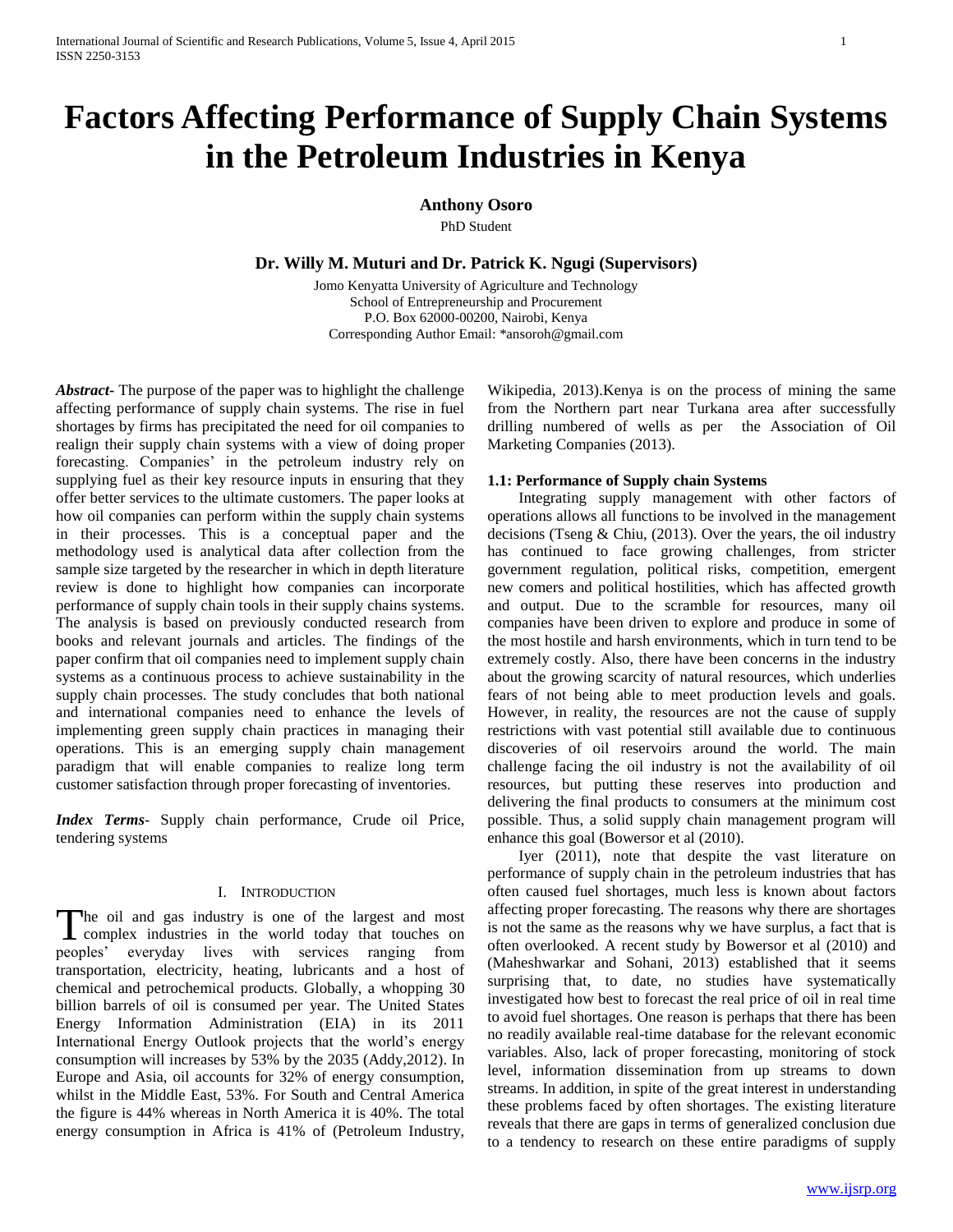# **Factors Affecting Performance of Supply Chain Systems in the Petroleum Industries in Kenya**

**Anthony Osoro** 

PhD Student

**Dr. Willy M. Muturi and Dr. Patrick K. Ngugi (Supervisors)**

Jomo Kenyatta University of Agriculture and Technology School of Entrepreneurship and Procurement P.O. Box 62000-00200, Nairobi, Kenya Corresponding Author Email: \*ansoroh@gmail.com

*Abstract***-** The purpose of the paper was to highlight the challenge affecting performance of supply chain systems. The rise in fuel shortages by firms has precipitated the need for oil companies to realign their supply chain systems with a view of doing proper forecasting. Companies' in the petroleum industry rely on supplying fuel as their key resource inputs in ensuring that they offer better services to the ultimate customers. The paper looks at how oil companies can perform within the supply chain systems in their processes. This is a conceptual paper and the methodology used is analytical data after collection from the sample size targeted by the researcher in which in depth literature review is done to highlight how companies can incorporate performance of supply chain tools in their supply chains systems. The analysis is based on previously conducted research from books and relevant journals and articles. The findings of the paper confirm that oil companies need to implement supply chain systems as a continuous process to achieve sustainability in the supply chain processes. The study concludes that both national and international companies need to enhance the levels of implementing green supply chain practices in managing their operations. This is an emerging supply chain management paradigm that will enable companies to realize long term customer satisfaction through proper forecasting of inventories.

*Index Terms*- Supply chain performance, Crude oil Price, tendering systems

## I. INTRODUCTION

The oil and gas industry is one of the largest and most complex industries in the world today that touches on **L** complex industries in the world today that touches on peoples' everyday lives with services ranging from transportation, electricity, heating, lubricants and a host of chemical and petrochemical products. Globally, a whopping 30 billion barrels of oil is consumed per year. The United States Energy Information Administration (EIA) in its 2011 International Energy Outlook projects that the world's energy consumption will increases by 53% by the 2035 (Addy,2012). In Europe and Asia, oil accounts for 32% of energy consumption, whilst in the Middle East, 53%. For South and Central America the figure is 44% whereas in North America it is 40%. The total energy consumption in Africa is 41% of (Petroleum Industry,

Wikipedia, 2013).Kenya is on the process of mining the same from the Northern part near Turkana area after successfully drilling numbered of wells as per the Association of Oil Marketing Companies (2013).

### **1.1: Performance of Supply chain Systems**

 Integrating supply management with other factors of operations allows all functions to be involved in the management decisions (Tseng & Chiu, (2013). Over the years, the oil industry has continued to face growing challenges, from stricter government regulation, political risks, competition, emergent new comers and political hostilities, which has affected growth and output. Due to the scramble for resources, many oil companies have been driven to explore and produce in some of the most hostile and harsh environments, which in turn tend to be extremely costly. Also, there have been concerns in the industry about the growing scarcity of natural resources, which underlies fears of not being able to meet production levels and goals. However, in reality, the resources are not the cause of supply restrictions with vast potential still available due to continuous discoveries of oil reservoirs around the world. The main challenge facing the oil industry is not the availability of oil resources, but putting these reserves into production and delivering the final products to consumers at the minimum cost possible. Thus, a solid supply chain management program will enhance this goal (Bowersor et al (2010).

 Iyer (2011), note that despite the vast literature on performance of supply chain in the petroleum industries that has often caused fuel shortages, much less is known about factors affecting proper forecasting. The reasons why there are shortages is not the same as the reasons why we have surplus, a fact that is often overlooked. A recent study by Bowersor et al (2010) and (Maheshwarkar and Sohani, 2013) established that it seems surprising that, to date, no studies have systematically investigated how best to forecast the real price of oil in real time to avoid fuel shortages. One reason is perhaps that there has been no readily available real-time database for the relevant economic variables. Also, lack of proper forecasting, monitoring of stock level, information dissemination from up streams to down streams. In addition, in spite of the great interest in understanding these problems faced by often shortages. The existing literature reveals that there are gaps in terms of generalized conclusion due to a tendency to research on these entire paradigms of supply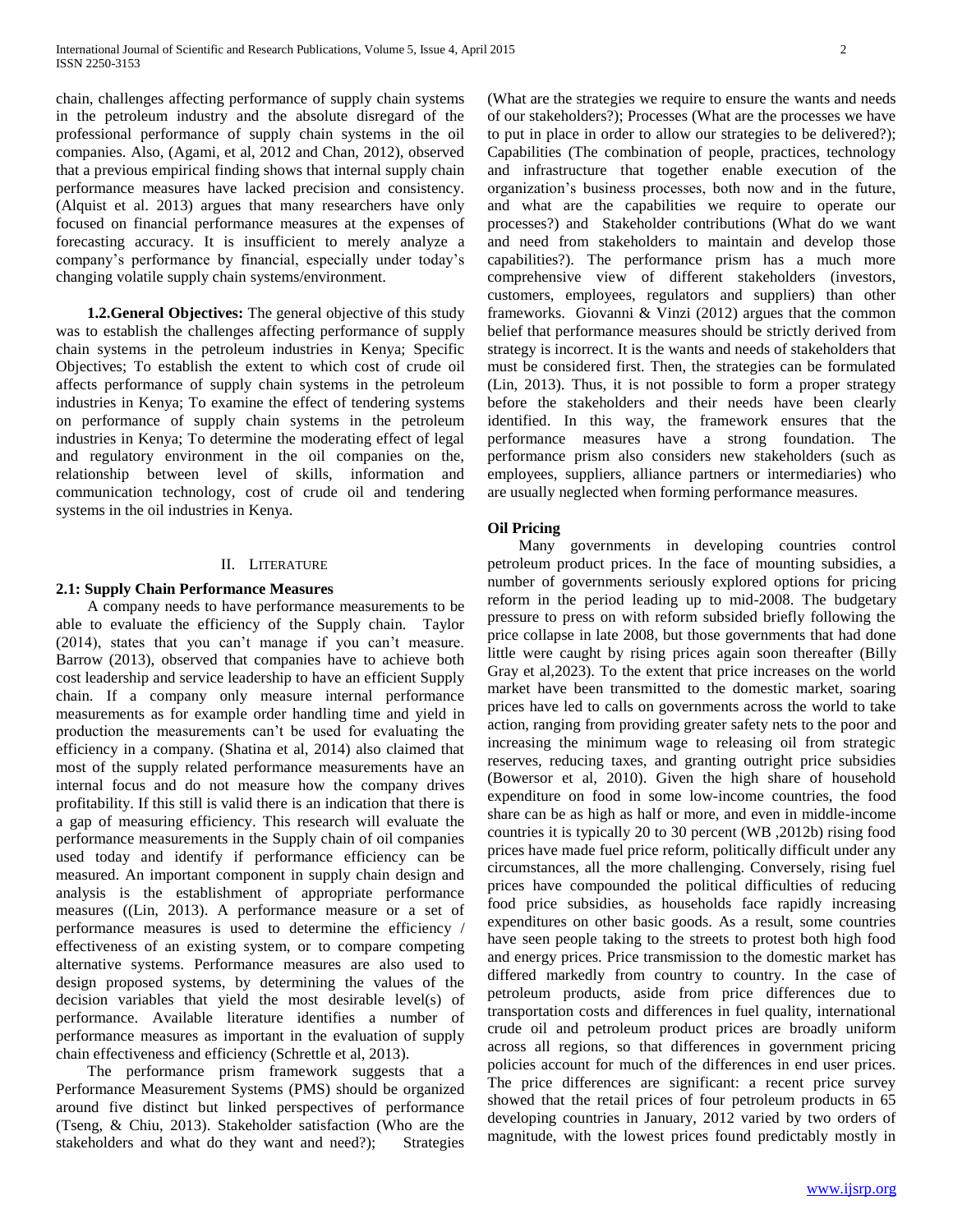chain, challenges affecting performance of supply chain systems in the petroleum industry and the absolute disregard of the professional performance of supply chain systems in the oil companies. Also, (Agami, et al, 2012 and Chan, 2012), observed that a previous empirical finding shows that internal supply chain performance measures have lacked precision and consistency. (Alquist et al. 2013) argues that many researchers have only focused on financial performance measures at the expenses of forecasting accuracy. It is insufficient to merely analyze a company's performance by financial, especially under today's changing volatile supply chain systems/environment.

 **1.2.General Objectives:** The general objective of this study was to establish the challenges affecting performance of supply chain systems in the petroleum industries in Kenya; Specific Objectives; To establish the extent to which cost of crude oil affects performance of supply chain systems in the petroleum industries in Kenya; To examine the effect of tendering systems on performance of supply chain systems in the petroleum industries in Kenya; To determine the moderating effect of legal and regulatory environment in the oil companies on the, relationship between level of skills, information and communication technology, cost of crude oil and tendering systems in the oil industries in Kenya.

### II. LITERATURE

### **2.1: Supply Chain Performance Measures**

 A company needs to have performance measurements to be able to evaluate the efficiency of the Supply chain. Taylor (2014), states that you can't manage if you can't measure. Barrow (2013), observed that companies have to achieve both cost leadership and service leadership to have an efficient Supply chain. If a company only measure internal performance measurements as for example order handling time and yield in production the measurements can't be used for evaluating the efficiency in a company. (Shatina et al, 2014) also claimed that most of the supply related performance measurements have an internal focus and do not measure how the company drives profitability. If this still is valid there is an indication that there is a gap of measuring efficiency. This research will evaluate the performance measurements in the Supply chain of oil companies used today and identify if performance efficiency can be measured. An important component in supply chain design and analysis is the establishment of appropriate performance measures ((Lin, 2013). A performance measure or a set of performance measures is used to determine the efficiency / effectiveness of an existing system, or to compare competing alternative systems. Performance measures are also used to design proposed systems, by determining the values of the decision variables that yield the most desirable level(s) of performance. Available literature identifies a number of performance measures as important in the evaluation of supply chain effectiveness and efficiency (Schrettle et al, 2013).

 The performance prism framework suggests that a Performance Measurement Systems (PMS) should be organized around five distinct but linked perspectives of performance (Tseng, & Chiu, 2013). Stakeholder satisfaction (Who are the stakeholders and what do they want and need?); Strategies

(What are the strategies we require to ensure the wants and needs of our stakeholders?); Processes (What are the processes we have to put in place in order to allow our strategies to be delivered?); Capabilities (The combination of people, practices, technology and infrastructure that together enable execution of the organization's business processes, both now and in the future, and what are the capabilities we require to operate our processes?) and Stakeholder contributions (What do we want and need from stakeholders to maintain and develop those capabilities?). The performance prism has a much more comprehensive view of different stakeholders (investors, customers, employees, regulators and suppliers) than other frameworks. Giovanni & Vinzi (2012) argues that the common belief that performance measures should be strictly derived from strategy is incorrect. It is the wants and needs of stakeholders that must be considered first. Then, the strategies can be formulated (Lin, 2013). Thus, it is not possible to form a proper strategy before the stakeholders and their needs have been clearly identified. In this way, the framework ensures that the performance measures have a strong foundation. The performance prism also considers new stakeholders (such as employees, suppliers, alliance partners or intermediaries) who are usually neglected when forming performance measures.

## **Oil Pricing**

 Many governments in developing countries control petroleum product prices. In the face of mounting subsidies, a number of governments seriously explored options for pricing reform in the period leading up to mid-2008. The budgetary pressure to press on with reform subsided briefly following the price collapse in late 2008, but those governments that had done little were caught by rising prices again soon thereafter (Billy Gray et al,2023). To the extent that price increases on the world market have been transmitted to the domestic market, soaring prices have led to calls on governments across the world to take action, ranging from providing greater safety nets to the poor and increasing the minimum wage to releasing oil from strategic reserves, reducing taxes, and granting outright price subsidies (Bowersor et al, 2010). Given the high share of household expenditure on food in some low-income countries, the food share can be as high as half or more, and even in middle-income countries it is typically 20 to 30 percent (WB ,2012b) rising food prices have made fuel price reform, politically difficult under any circumstances, all the more challenging. Conversely, rising fuel prices have compounded the political difficulties of reducing food price subsidies, as households face rapidly increasing expenditures on other basic goods. As a result, some countries have seen people taking to the streets to protest both high food and energy prices. Price transmission to the domestic market has differed markedly from country to country. In the case of petroleum products, aside from price differences due to transportation costs and differences in fuel quality, international crude oil and petroleum product prices are broadly uniform across all regions, so that differences in government pricing policies account for much of the differences in end user prices. The price differences are significant: a recent price survey showed that the retail prices of four petroleum products in 65 developing countries in January, 2012 varied by two orders of magnitude, with the lowest prices found predictably mostly in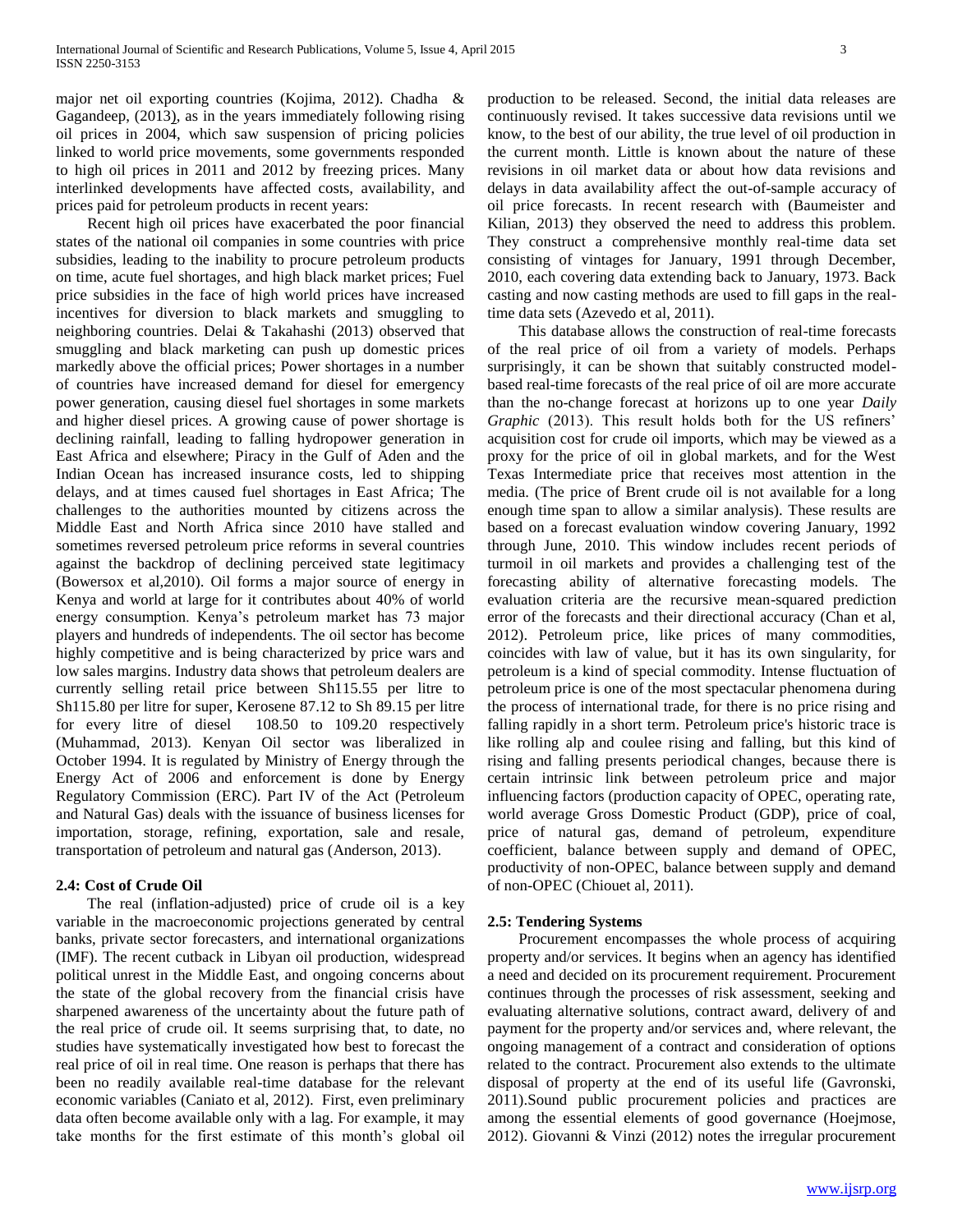major net oil exporting countries (Kojima, 2012). Chadha & Gagandeep, (2013), as in the years immediately following rising oil prices in 2004, which saw suspension of pricing policies linked to world price movements, some governments responded to high oil prices in 2011 and 2012 by freezing prices. Many interlinked developments have affected costs, availability, and prices paid for petroleum products in recent years:

 Recent high oil prices have exacerbated the poor financial states of the national oil companies in some countries with price subsidies, leading to the inability to procure petroleum products on time, acute fuel shortages, and high black market prices; Fuel price subsidies in the face of high world prices have increased incentives for diversion to black markets and smuggling to neighboring countries. Delai & Takahashi (2013) observed that smuggling and black marketing can push up domestic prices markedly above the official prices; Power shortages in a number of countries have increased demand for diesel for emergency power generation, causing diesel fuel shortages in some markets and higher diesel prices. A growing cause of power shortage is declining rainfall, leading to falling hydropower generation in East Africa and elsewhere; Piracy in the Gulf of Aden and the Indian Ocean has increased insurance costs, led to shipping delays, and at times caused fuel shortages in East Africa; The challenges to the authorities mounted by citizens across the Middle East and North Africa since 2010 have stalled and sometimes reversed petroleum price reforms in several countries against the backdrop of declining perceived state legitimacy (Bowersox et al,2010). Oil forms a major source of energy in Kenya and world at large for it contributes about 40% of world energy consumption. Kenya's petroleum market has 73 major players and hundreds of independents. The oil sector has become highly competitive and is being characterized by price wars and low sales margins. Industry data shows that petroleum dealers are currently selling retail price between Sh115.55 per litre to Sh115.80 per litre for super, Kerosene 87.12 to Sh 89.15 per litre for every litre of diesel 108.50 to 109.20 respectively (Muhammad, 2013). Kenyan Oil sector was liberalized in October 1994. It is regulated by Ministry of Energy through the Energy Act of 2006 and enforcement is done by Energy Regulatory Commission (ERC). Part IV of the Act (Petroleum and Natural Gas) deals with the issuance of business licenses for importation, storage, refining, exportation, sale and resale, transportation of petroleum and natural gas (Anderson, 2013).

## **2.4: Cost of Crude Oil**

 The real (inflation-adjusted) price of crude oil is a key variable in the macroeconomic projections generated by central banks, private sector forecasters, and international organizations (IMF). The recent cutback in Libyan oil production, widespread political unrest in the Middle East, and ongoing concerns about the state of the global recovery from the financial crisis have sharpened awareness of the uncertainty about the future path of the real price of crude oil. It seems surprising that, to date, no studies have systematically investigated how best to forecast the real price of oil in real time. One reason is perhaps that there has been no readily available real-time database for the relevant economic variables (Caniato et al, 2012). First, even preliminary data often become available only with a lag. For example, it may take months for the first estimate of this month's global oil production to be released. Second, the initial data releases are continuously revised. It takes successive data revisions until we know, to the best of our ability, the true level of oil production in the current month. Little is known about the nature of these revisions in oil market data or about how data revisions and delays in data availability affect the out-of-sample accuracy of oil price forecasts. In recent research with (Baumeister and Kilian, 2013) they observed the need to address this problem. They construct a comprehensive monthly real-time data set consisting of vintages for January, 1991 through December, 2010, each covering data extending back to January, 1973. Back casting and now casting methods are used to fill gaps in the realtime data sets (Azevedo et al, 2011).

 This database allows the construction of real-time forecasts of the real price of oil from a variety of models. Perhaps surprisingly, it can be shown that suitably constructed modelbased real-time forecasts of the real price of oil are more accurate than the no-change forecast at horizons up to one year *Daily Graphic* (2013). This result holds both for the US refiners' acquisition cost for crude oil imports, which may be viewed as a proxy for the price of oil in global markets, and for the West Texas Intermediate price that receives most attention in the media. (The price of Brent crude oil is not available for a long enough time span to allow a similar analysis). These results are based on a forecast evaluation window covering January, 1992 through June, 2010. This window includes recent periods of turmoil in oil markets and provides a challenging test of the forecasting ability of alternative forecasting models. The evaluation criteria are the recursive mean-squared prediction error of the forecasts and their directional accuracy (Chan et al, 2012). Petroleum price, like prices of many commodities, coincides with law of value, but it has its own singularity, for petroleum is a kind of special commodity. Intense fluctuation of petroleum price is one of the most spectacular phenomena during the process of international trade, for there is no price rising and falling rapidly in a short term. Petroleum price's historic trace is like rolling alp and coulee rising and falling, but this kind of rising and falling presents periodical changes, because there is certain intrinsic link between petroleum price and major influencing factors (production capacity of OPEC, operating rate, world average Gross Domestic Product (GDP), price of coal, price of natural gas, demand of petroleum, expenditure coefficient, balance between supply and demand of OPEC, productivity of non-OPEC, balance between supply and demand of non-OPEC (Chiouet al, 2011).

## **2.5: Tendering Systems**

 Procurement encompasses the whole process of acquiring property and/or services. It begins when an agency has identified a need and decided on its procurement requirement. Procurement continues through the processes of risk assessment, seeking and evaluating alternative solutions, contract award, delivery of and payment for the property and/or services and, where relevant, the ongoing management of a contract and consideration of options related to the contract. Procurement also extends to the ultimate disposal of property at the end of its useful life (Gavronski, 2011).Sound public procurement policies and practices are among the essential elements of good governance (Hoejmose, 2012). Giovanni & Vinzi (2012) notes the irregular procurement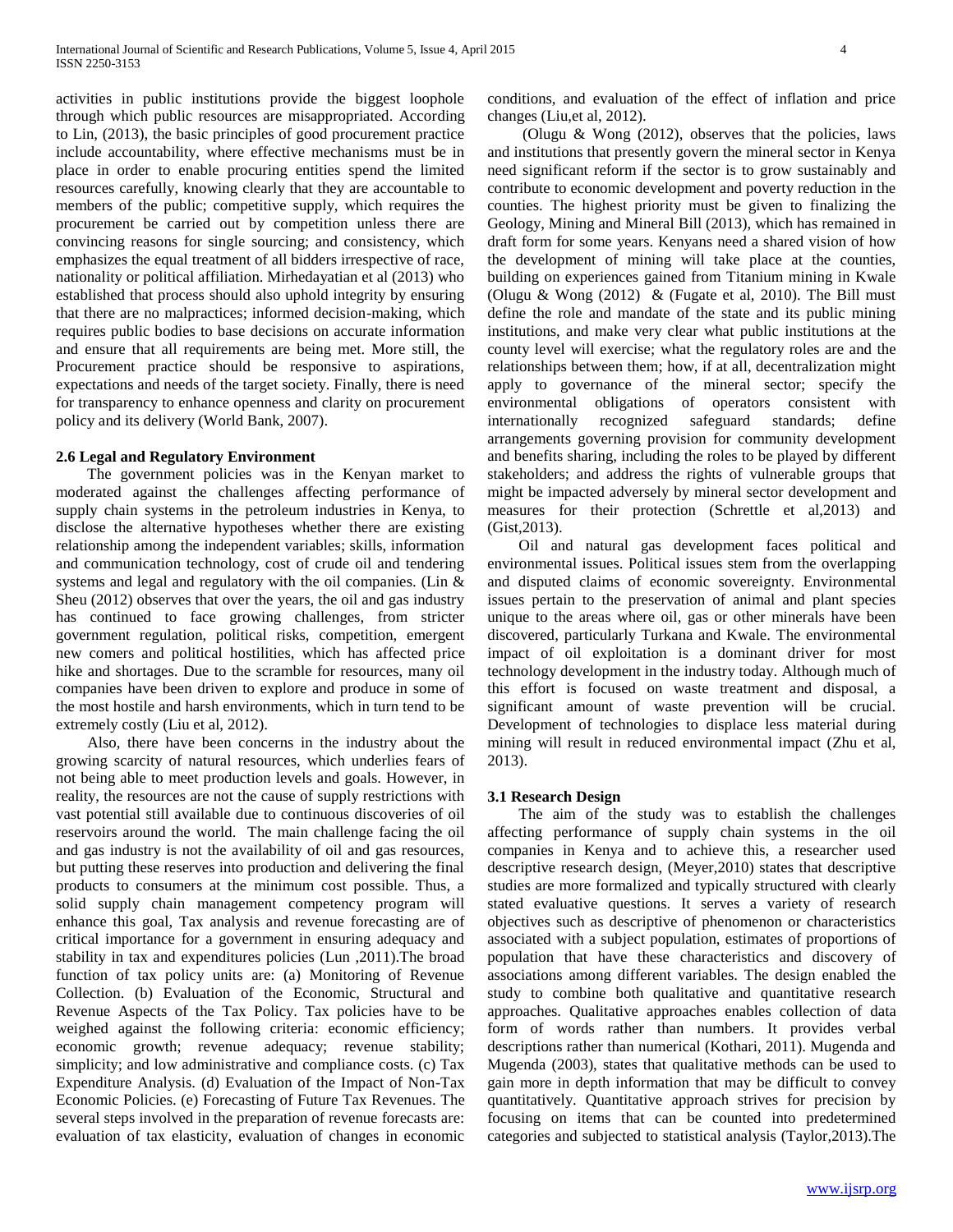activities in public institutions provide the biggest loophole through which public resources are misappropriated. According to Lin, (2013), the basic principles of good procurement practice include accountability, where effective mechanisms must be in place in order to enable procuring entities spend the limited resources carefully, knowing clearly that they are accountable to members of the public; competitive supply, which requires the procurement be carried out by competition unless there are convincing reasons for single sourcing; and consistency, which emphasizes the equal treatment of all bidders irrespective of race, nationality or political affiliation. Mirhedayatian et al (2013) who established that process should also uphold integrity by ensuring that there are no malpractices; informed decision-making, which requires public bodies to base decisions on accurate information and ensure that all requirements are being met. More still, the Procurement practice should be responsive to aspirations, expectations and needs of the target society. Finally, there is need for transparency to enhance openness and clarity on procurement policy and its delivery (World Bank, 2007).

## **2.6 Legal and Regulatory Environment**

 The government policies was in the Kenyan market to moderated against the challenges affecting performance of supply chain systems in the petroleum industries in Kenya, to disclose the alternative hypotheses whether there are existing relationship among the independent variables; skills, information and communication technology, cost of crude oil and tendering systems and legal and regulatory with the oil companies. (Lin & Sheu (2012) observes that over the years, the oil and gas industry has continued to face growing challenges, from stricter government regulation, political risks, competition, emergent new comers and political hostilities, which has affected price hike and shortages. Due to the scramble for resources, many oil companies have been driven to explore and produce in some of the most hostile and harsh environments, which in turn tend to be extremely costly (Liu et al, 2012).

 Also, there have been concerns in the industry about the growing scarcity of natural resources, which underlies fears of not being able to meet production levels and goals. However, in reality, the resources are not the cause of supply restrictions with vast potential still available due to continuous discoveries of oil reservoirs around the world. The main challenge facing the oil and gas industry is not the availability of oil and gas resources, but putting these reserves into production and delivering the final products to consumers at the minimum cost possible. Thus, a solid supply chain management competency program will enhance this goal, Tax analysis and revenue forecasting are of critical importance for a government in ensuring adequacy and stability in tax and expenditures policies (Lun ,2011).The broad function of tax policy units are: (a) Monitoring of Revenue Collection. (b) Evaluation of the Economic, Structural and Revenue Aspects of the Tax Policy. Tax policies have to be weighed against the following criteria: economic efficiency; economic growth; revenue adequacy; revenue stability; simplicity; and low administrative and compliance costs. (c) Tax Expenditure Analysis. (d) Evaluation of the Impact of Non-Tax Economic Policies. (e) Forecasting of Future Tax Revenues. The several steps involved in the preparation of revenue forecasts are: evaluation of tax elasticity, evaluation of changes in economic conditions, and evaluation of the effect of inflation and price changes (Liu,et al, 2012).

 (Olugu & Wong (2012), observes that the policies, laws and institutions that presently govern the mineral sector in Kenya need significant reform if the sector is to grow sustainably and contribute to economic development and poverty reduction in the counties. The highest priority must be given to finalizing the Geology, Mining and Mineral Bill (2013), which has remained in draft form for some years. Kenyans need a shared vision of how the development of mining will take place at the counties, building on experiences gained from Titanium mining in Kwale (Olugu & Wong (2012) & (Fugate et al, 2010). The Bill must define the role and mandate of the state and its public mining institutions, and make very clear what public institutions at the county level will exercise; what the regulatory roles are and the relationships between them; how, if at all, decentralization might apply to governance of the mineral sector; specify the environmental obligations of operators consistent with internationally recognized safeguard standards; define arrangements governing provision for community development and benefits sharing, including the roles to be played by different stakeholders; and address the rights of vulnerable groups that might be impacted adversely by mineral sector development and measures for their protection (Schrettle et al,2013) and (Gist,2013).

 Oil and natural gas development faces political and environmental issues. Political issues stem from the overlapping and disputed claims of economic sovereignty. Environmental issues pertain to the preservation of animal and plant species unique to the areas where oil, gas or other minerals have been discovered, particularly Turkana and Kwale. The environmental impact of oil exploitation is a dominant driver for most technology development in the industry today. Although much of this effort is focused on waste treatment and disposal, a significant amount of waste prevention will be crucial. Development of technologies to displace less material during mining will result in reduced environmental impact (Zhu et al, 2013).

### **3.1 Research Design**

 The aim of the study was to establish the challenges affecting performance of supply chain systems in the oil companies in Kenya and to achieve this, a researcher used descriptive research design, (Meyer,2010) states that descriptive studies are more formalized and typically structured with clearly stated evaluative questions. It serves a variety of research objectives such as descriptive of phenomenon or characteristics associated with a subject population, estimates of proportions of population that have these characteristics and discovery of associations among different variables. The design enabled the study to combine both qualitative and quantitative research approaches. Qualitative approaches enables collection of data form of words rather than numbers. It provides verbal descriptions rather than numerical (Kothari, 2011). Mugenda and Mugenda (2003), states that qualitative methods can be used to gain more in depth information that may be difficult to convey quantitatively. Quantitative approach strives for precision by focusing on items that can be counted into predetermined categories and subjected to statistical analysis (Taylor,2013).The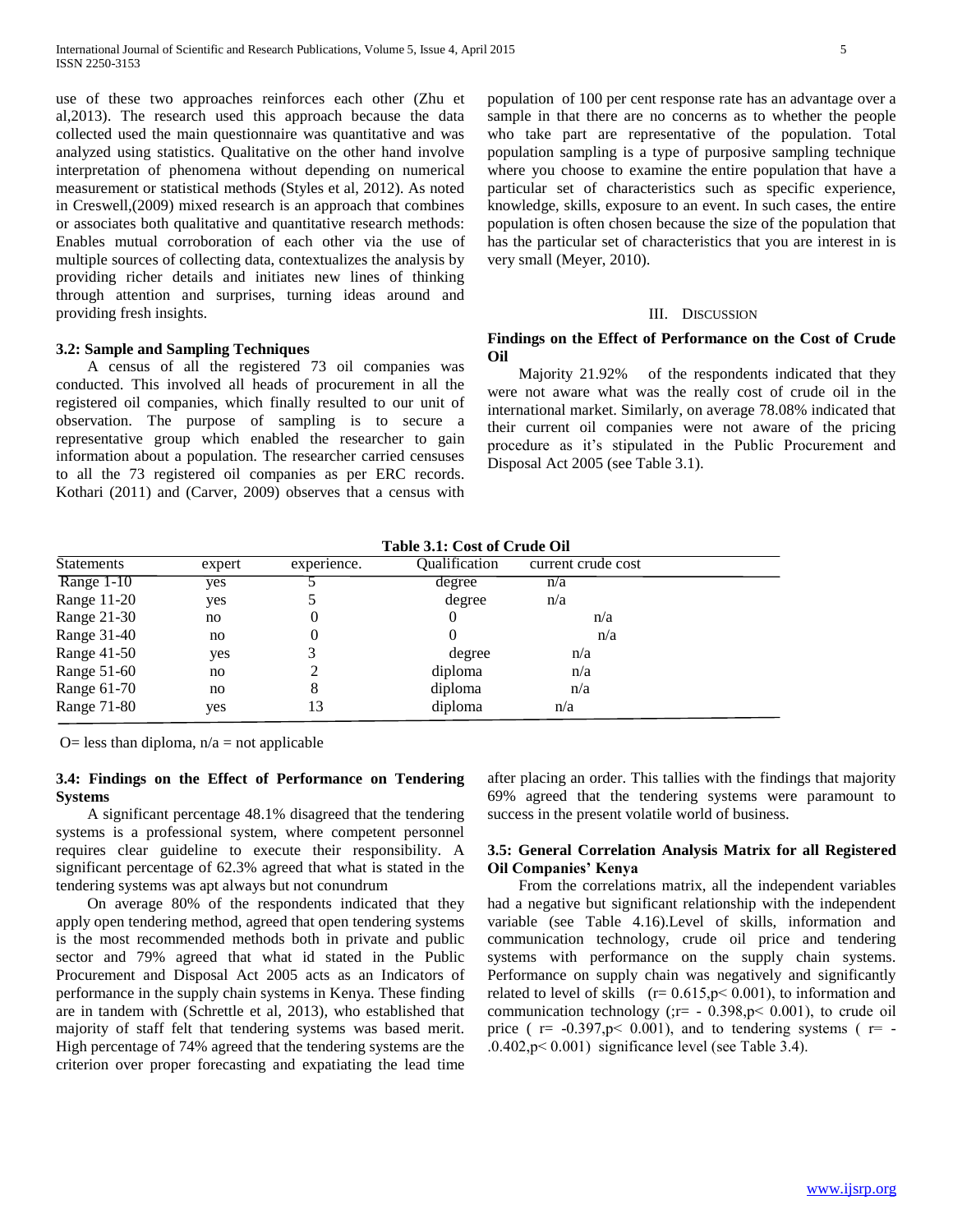use of these two approaches reinforces each other (Zhu et al,2013). The research used this approach because the data collected used the main questionnaire was quantitative and was analyzed using statistics. Qualitative on the other hand involve interpretation of phenomena without depending on numerical measurement or statistical methods (Styles et al, 2012). As noted in Creswell,(2009) mixed research is an approach that combines or associates both qualitative and quantitative research methods: Enables mutual corroboration of each other via the use of multiple sources of collecting data, contextualizes the analysis by providing richer details and initiates new lines of thinking through attention and surprises, turning ideas around and providing fresh insights.

## **3.2: Sample and Sampling Techniques**

 A census of all the registered 73 oil companies was conducted. This involved all heads of procurement in all the registered oil companies, which finally resulted to our unit of observation. The purpose of sampling is to secure a representative group which enabled the researcher to gain information about a population. The researcher carried censuses to all the 73 registered oil companies as per ERC records. Kothari (2011) and (Carver, 2009) observes that a census with

population of 100 per cent response rate has an advantage over a sample in that there are no concerns as to whether the people who take part are representative of the population. Total population sampling is a type of purposive sampling technique where you choose to examine the entire population that have a particular set of characteristics such as specific experience, knowledge, skills, exposure to an event. In such cases, the entire population is often chosen because the size of the population that has the particular set of characteristics that you are interest in is very small (Meyer, 2010).

#### III. DISCUSSION

## **Findings on the Effect of Performance on the Cost of Crude Oil**

 Majority 21.92% of the respondents indicated that they were not aware what was the really cost of crude oil in the international market. Similarly, on average 78.08% indicated that their current oil companies were not aware of the pricing procedure as it's stipulated in the Public Procurement and Disposal Act 2005 (see Table 3.1).

**Table 3.1: Cost of Crude Oil** Statements expert experience. Qualification current crude cost Range  $1-10$  yes 5 degree  $n/a$ Range 11-20 yes 5 degree n/a Range 21-30 no 0 0  $\frac{n}{a}$ Range 31-40 no 0 0  $\frac{n}{a}$ Range 41-50 yes 3 degree n/a Range 51-60 no 2 diploma n/a Range 61-70 no 8 diploma n/a Range 71-80 yes 13 diploma n/a

O= less than diploma,  $n/a$  = not applicable

## **3.4: Findings on the Effect of Performance on Tendering Systems**

 A significant percentage 48.1% disagreed that the tendering systems is a professional system, where competent personnel requires clear guideline to execute their responsibility. A significant percentage of 62.3% agreed that what is stated in the tendering systems was apt always but not conundrum

 On average 80% of the respondents indicated that they apply open tendering method, agreed that open tendering systems is the most recommended methods both in private and public sector and 79% agreed that what id stated in the Public Procurement and Disposal Act 2005 acts as an Indicators of performance in the supply chain systems in Kenya. These finding are in tandem with (Schrettle et al, 2013), who established that majority of staff felt that tendering systems was based merit. High percentage of 74% agreed that the tendering systems are the criterion over proper forecasting and expatiating the lead time

after placing an order. This tallies with the findings that majority 69% agreed that the tendering systems were paramount to success in the present volatile world of business.

## **3.5: General Correlation Analysis Matrix for all Registered Oil Companies' Kenya**

 From the correlations matrix, all the independent variables had a negative but significant relationship with the independent variable (see Table 4.16).Level of skills, information and communication technology, crude oil price and tendering systems with performance on the supply chain systems. Performance on supply chain was negatively and significantly related to level of skills  $(r= 0.615, p< 0.001)$ , to information and communication technology (; $r= -0.398$ , $p< 0.001$ ), to crude oil price ( $r = -0.397$ , p $\leq 0.001$ ), and to tendering systems ( $r = -0.397$  $.0.402$ ,  $p < 0.001$ ) significance level (see Table 3.4).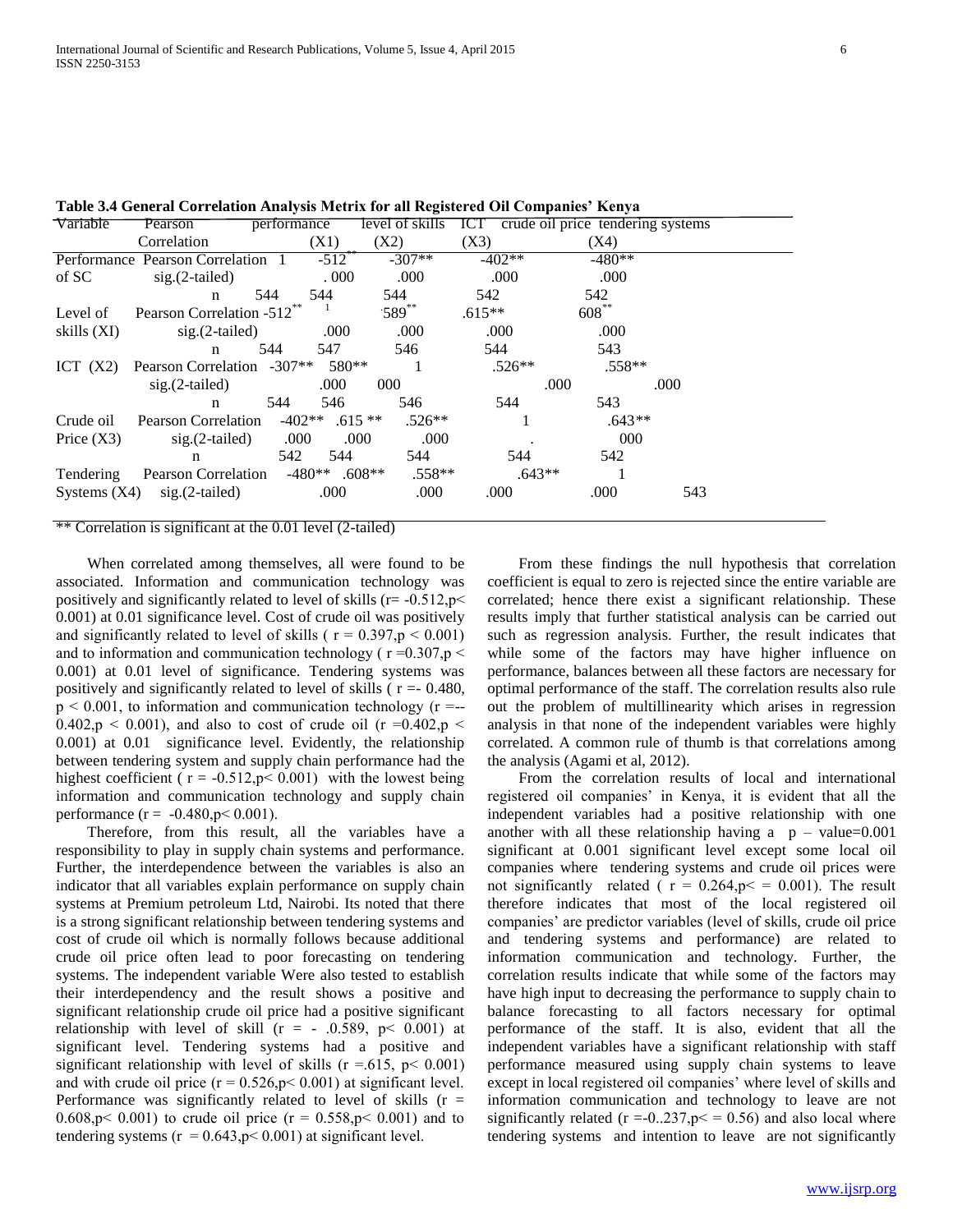| Variable       | Pearson                               | performance |                     | level of skills | ICT —    | crude oil price tendering systems |      |
|----------------|---------------------------------------|-------------|---------------------|-----------------|----------|-----------------------------------|------|
|                | Correlation                           |             | (X1)                | (X2)            | (X3)     | (X4)                              |      |
|                | Performance Pearson Correlation       |             | $-512$ <sup>-</sup> | $-307**$        | $-402**$ | $-480**$                          |      |
| of SC          | $sig.(2-tailed)$                      |             | .000.               | .000            | .000     | .000                              |      |
|                | n                                     | 544         | 544                 | 544             | 542      | 542                               |      |
| Level of       | Pearson Correlation -512 <sup>°</sup> |             |                     | $589^{**}$      | $.615**$ | $608***$                          |      |
| skills (XI)    | $sig.(2-tailed)$                      |             | .000                | .000            | .000     | .000                              |      |
|                | n                                     | 544         | 547                 | 546             | 544      | 543                               |      |
| ICT $(X2)$     | Pearson Correlation -307**            |             | 580**               |                 | $.526**$ | $.558**$                          |      |
|                | $sig.(2-tailed)$                      |             | .000                | 000             |          | .000                              | .000 |
|                | n                                     | 544         | 546                 | 546             | 544      | 543                               |      |
| Crude oil      | Pearson Correlation                   |             | $-402**$ .615 **    | $.526**$        |          | $.643**$                          |      |
| Price $(X3)$   | $sig.(2-tailed)$                      | .000        | .000                | .000            |          | 000                               |      |
|                | $\mathbf n$                           | 542         | 544                 | 544             | 544      | 542                               |      |
| Tendering      | Pearson Correlation                   |             | $-480**$ .608**     | $.558**$        |          | $.643**$                          |      |
| Systems $(X4)$ | $sig.(2-tailed)$                      |             | .000                | .000            | .000     | .000                              | 543  |
|                |                                       |             |                     |                 |          |                                   |      |

**Table 3.4 General Correlation Analysis Metrix for all Registered Oil Companies' Kenya**

#### \*\* Correlation is significant at the 0.01 level (2-tailed)

 When correlated among themselves, all were found to be associated. Information and communication technology was positively and significantly related to level of skills ( $r = -0.512$ ,  $p <$ 0.001) at 0.01 significance level. Cost of crude oil was positively and significantly related to level of skills ( $r = 0.397$ ,  $p < 0.001$ ) and to information and communication technology ( $r = 0.307$ ,  $p <$ 0.001) at 0.01 level of significance. Tendering systems was positively and significantly related to level of skills ( $r = -0.480$ ,  $p < 0.001$ , to information and communication technology ( $r = -1$ 0.402,p  $\leq$  0.001), and also to cost of crude oil (r =0.402,p  $\leq$ 0.001) at 0.01 significance level. Evidently, the relationship between tendering system and supply chain performance had the highest coefficient ( $r = -0.512$ ,  $p < 0.001$ ) with the lowest being information and communication technology and supply chain performance  $(r = -0.480, p < 0.001)$ .

 Therefore, from this result, all the variables have a responsibility to play in supply chain systems and performance. Further, the interdependence between the variables is also an indicator that all variables explain performance on supply chain systems at Premium petroleum Ltd, Nairobi. Its noted that there is a strong significant relationship between tendering systems and cost of crude oil which is normally follows because additional crude oil price often lead to poor forecasting on tendering systems. The independent variable Were also tested to establish their interdependency and the result shows a positive and significant relationship crude oil price had a positive significant relationship with level of skill  $(r = -0.589, p < 0.001)$  at significant level. Tendering systems had a positive and significant relationship with level of skills ( $r = .615$ ,  $p < 0.001$ ) and with crude oil price  $(r = 0.526, p < 0.001)$  at significant level. Performance was significantly related to level of skills  $(r =$ 0.608,p < 0.001) to crude oil price ( $r = 0.558$ ,p < 0.001) and to tendering systems ( $r = 0.643$ ,  $p < 0.001$ ) at significant level.

 From these findings the null hypothesis that correlation coefficient is equal to zero is rejected since the entire variable are correlated; hence there exist a significant relationship. These results imply that further statistical analysis can be carried out such as regression analysis. Further, the result indicates that while some of the factors may have higher influence on performance, balances between all these factors are necessary for optimal performance of the staff. The correlation results also rule out the problem of multillinearity which arises in regression analysis in that none of the independent variables were highly correlated. A common rule of thumb is that correlations among the analysis (Agami et al, 2012).

 From the correlation results of local and international registered oil companies' in Kenya, it is evident that all the independent variables had a positive relationship with one another with all these relationship having a  $p - value=0.001$ significant at 0.001 significant level except some local oil companies where tendering systems and crude oil prices were not significantly related ( $r = 0.264$ ,  $p \le 0.001$ ). The result therefore indicates that most of the local registered oil companies' are predictor variables (level of skills, crude oil price and tendering systems and performance) are related to information communication and technology. Further, the correlation results indicate that while some of the factors may have high input to decreasing the performance to supply chain to balance forecasting to all factors necessary for optimal performance of the staff. It is also, evident that all the independent variables have a significant relationship with staff performance measured using supply chain systems to leave except in local registered oil companies' where level of skills and information communication and technology to leave are not significantly related ( $r = -0.237$ ,  $p \le 0.56$ ) and also local where tendering systems and intention to leave are not significantly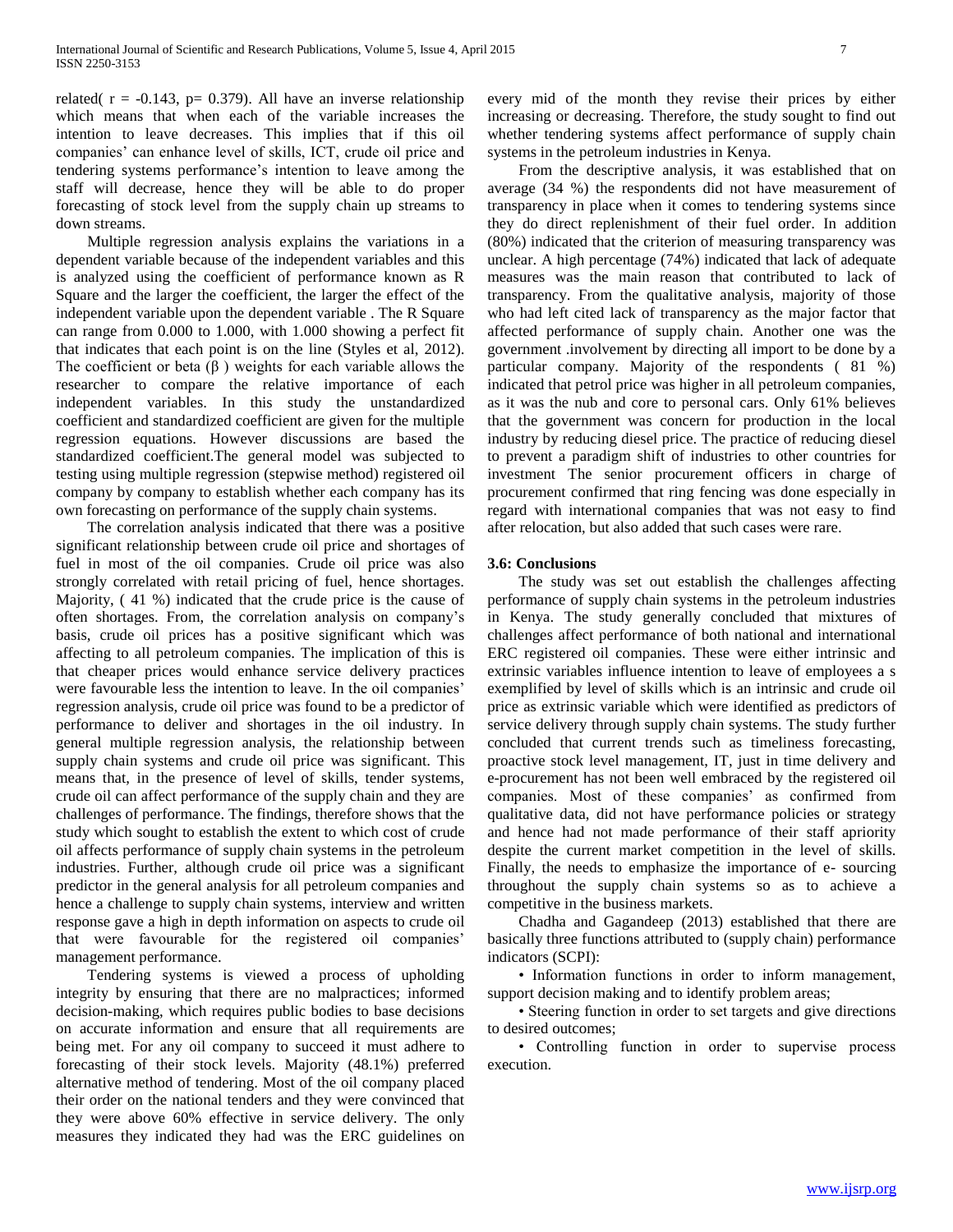related( $r = -0.143$ ,  $p = 0.379$ ). All have an inverse relationship which means that when each of the variable increases the intention to leave decreases. This implies that if this oil companies' can enhance level of skills, ICT, crude oil price and tendering systems performance's intention to leave among the staff will decrease, hence they will be able to do proper forecasting of stock level from the supply chain up streams to down streams.

 Multiple regression analysis explains the variations in a dependent variable because of the independent variables and this is analyzed using the coefficient of performance known as R Square and the larger the coefficient, the larger the effect of the independent variable upon the dependent variable . The R Square can range from 0.000 to 1.000, with 1.000 showing a perfect fit that indicates that each point is on the line (Styles et al, 2012). The coefficient or beta  $(\beta)$  weights for each variable allows the researcher to compare the relative importance of each independent variables. In this study the unstandardized coefficient and standardized coefficient are given for the multiple regression equations. However discussions are based the standardized coefficient.The general model was subjected to testing using multiple regression (stepwise method) registered oil company by company to establish whether each company has its own forecasting on performance of the supply chain systems.

 The correlation analysis indicated that there was a positive significant relationship between crude oil price and shortages of fuel in most of the oil companies. Crude oil price was also strongly correlated with retail pricing of fuel, hence shortages. Majority, ( 41 %) indicated that the crude price is the cause of often shortages. From, the correlation analysis on company's basis, crude oil prices has a positive significant which was affecting to all petroleum companies. The implication of this is that cheaper prices would enhance service delivery practices were favourable less the intention to leave. In the oil companies' regression analysis, crude oil price was found to be a predictor of performance to deliver and shortages in the oil industry. In general multiple regression analysis, the relationship between supply chain systems and crude oil price was significant. This means that, in the presence of level of skills, tender systems, crude oil can affect performance of the supply chain and they are challenges of performance. The findings, therefore shows that the study which sought to establish the extent to which cost of crude oil affects performance of supply chain systems in the petroleum industries. Further, although crude oil price was a significant predictor in the general analysis for all petroleum companies and hence a challenge to supply chain systems, interview and written response gave a high in depth information on aspects to crude oil that were favourable for the registered oil companies' management performance.

 Tendering systems is viewed a process of upholding integrity by ensuring that there are no malpractices; informed decision-making, which requires public bodies to base decisions on accurate information and ensure that all requirements are being met. For any oil company to succeed it must adhere to forecasting of their stock levels. Majority (48.1%) preferred alternative method of tendering. Most of the oil company placed their order on the national tenders and they were convinced that they were above 60% effective in service delivery. The only measures they indicated they had was the ERC guidelines on every mid of the month they revise their prices by either increasing or decreasing. Therefore, the study sought to find out whether tendering systems affect performance of supply chain systems in the petroleum industries in Kenya.

 From the descriptive analysis, it was established that on average (34 %) the respondents did not have measurement of transparency in place when it comes to tendering systems since they do direct replenishment of their fuel order. In addition (80%) indicated that the criterion of measuring transparency was unclear. A high percentage (74%) indicated that lack of adequate measures was the main reason that contributed to lack of transparency. From the qualitative analysis, majority of those who had left cited lack of transparency as the major factor that affected performance of supply chain. Another one was the government .involvement by directing all import to be done by a particular company. Majority of the respondents ( 81 %) indicated that petrol price was higher in all petroleum companies, as it was the nub and core to personal cars. Only 61% believes that the government was concern for production in the local industry by reducing diesel price. The practice of reducing diesel to prevent a paradigm shift of industries to other countries for investment The senior procurement officers in charge of procurement confirmed that ring fencing was done especially in regard with international companies that was not easy to find after relocation, but also added that such cases were rare.

### **3.6: Conclusions**

 The study was set out establish the challenges affecting performance of supply chain systems in the petroleum industries in Kenya. The study generally concluded that mixtures of challenges affect performance of both national and international ERC registered oil companies. These were either intrinsic and extrinsic variables influence intention to leave of employees a s exemplified by level of skills which is an intrinsic and crude oil price as extrinsic variable which were identified as predictors of service delivery through supply chain systems. The study further concluded that current trends such as timeliness forecasting, proactive stock level management, IT, just in time delivery and e-procurement has not been well embraced by the registered oil companies. Most of these companies' as confirmed from qualitative data, did not have performance policies or strategy and hence had not made performance of their staff apriority despite the current market competition in the level of skills. Finally, the needs to emphasize the importance of e- sourcing throughout the supply chain systems so as to achieve a competitive in the business markets.

 Chadha and Gagandeep (2013) established that there are basically three functions attributed to (supply chain) performance indicators (SCPI):

 • Information functions in order to inform management, support decision making and to identify problem areas;

 • Steering function in order to set targets and give directions to desired outcomes;

 • Controlling function in order to supervise process execution.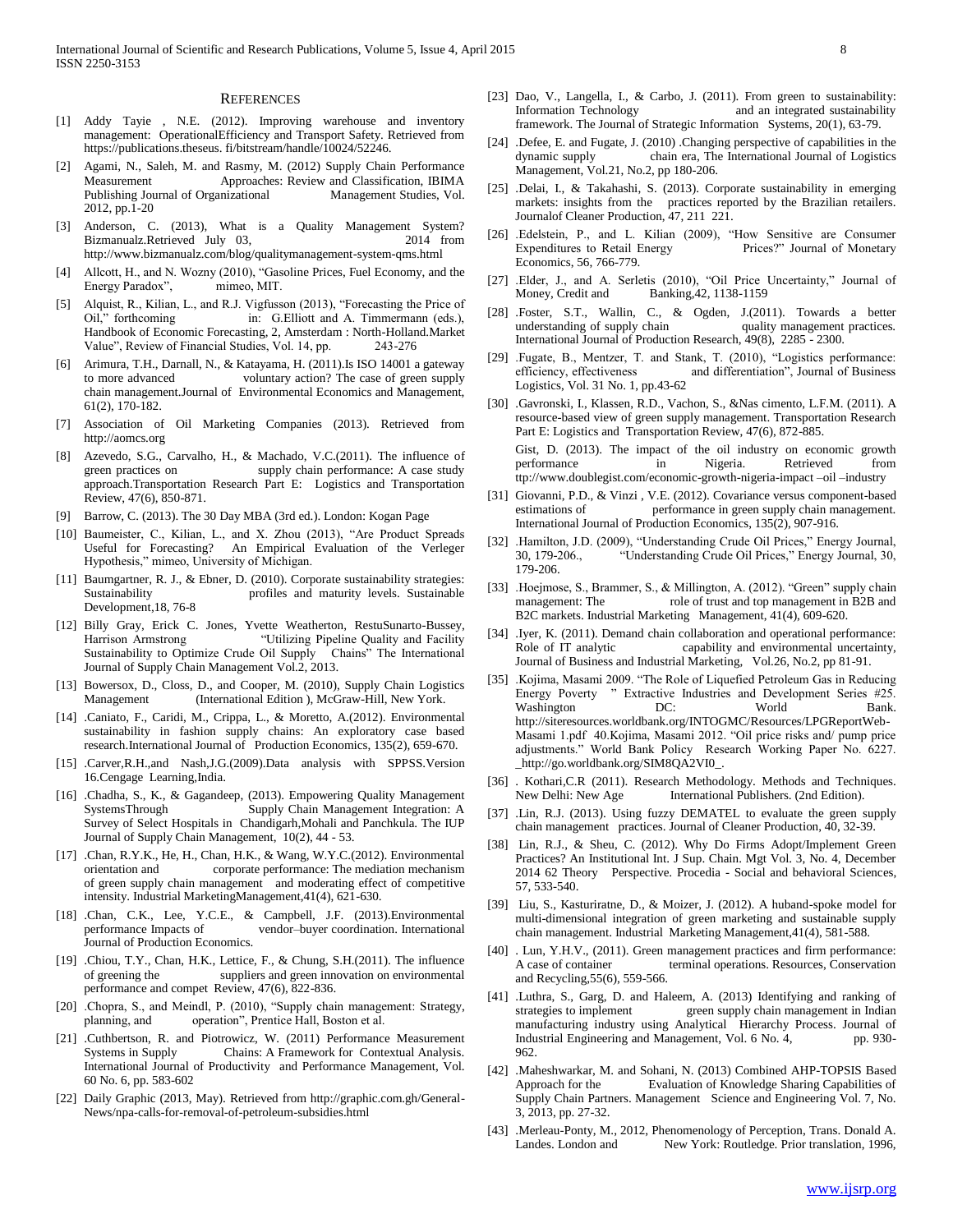#### **REFERENCES**

- [1] Addy Tayie , N.E. (2012). Improving warehouse and inventory management: OperationalEfficiency and Transport Safety. Retrieved from https://publications.theseus. fi/bitstream/handle/10024/52246.
- [2] Agami, N., Saleh, M. and Rasmy, M. (2012) Supply Chain Performance Measurement Approaches: Review and Classification, IBIMA Publishing Journal of Organizational Management Studies, Vol. 2012, pp.1-20
- [3] Anderson, C. (2013), What is a Quality Management System? Bizmanualz.Retrieved July 03, 2014 from http://www.bizmanualz.com/blog/qualitymanagement-system-qms.html
- [4] Allcott, H., and N. Wozny (2010), "Gasoline Prices, Fuel Economy, and the Energy Paradox", mimeo, MIT.
- [5] Alquist, R., Kilian, L., and R.J. Vigfusson (2013), "Forecasting the Price of Oil," forthcoming in: G.Elliott and A. Timmermann (eds.), in: G.Elliott and A. Timmermann (eds.), Handbook of Economic Forecasting, 2, Amsterdam : North-Holland.Market Value", Review of Financial Studies, Vol. 14, pp. 243-276
- [6] Arimura, T.H., Darnall, N., & Katayama, H. (2011).Is ISO 14001 a gateway to more advanced voluntary action? The case of green supply chain management.Journal of Environmental Economics and Management, 61(2), 170-182.
- [7] Association of Oil Marketing Companies (2013). Retrieved from http://aomcs.org
- [8] Azevedo, S.G., Carvalho, H., & Machado, V.C.(2011). The influence of green practices on supply chain performance: A case study approach.Transportation Research Part E: Logistics and Transportation Review, 47(6), 850-871.
- [9] Barrow, C. (2013). The 30 Day MBA (3rd ed.). London: Kogan Page
- [10] Baumeister, C., Kilian, L., and X. Zhou (2013), "Are Product Spreads Useful for Forecasting? An Empirical Evaluation of the Verleger Hypothesis," mimeo, University of Michigan.
- [11] Baumgartner, R. J., & Ebner, D. (2010). Corporate sustainability strategies: Sustainability profiles and maturity levels. Sustainable Development,18, 76-8
- [12] Billy Gray, Erick C. Jones, Yvette Weatherton, RestuSunarto-Bussey, Harrison Armstrong "Utilizing Pipeline Quality and Facility Sustainability to Optimize Crude Oil Supply Chains" The International Journal of Supply Chain Management Vol.2, 2013.
- [13] Bowersox, D., Closs, D., and Cooper, M. (2010), Supply Chain Logistics Management (International Edition ), McGraw-Hill, New York.
- [14] .Caniato, F., Caridi, M., Crippa, L., & Moretto, A.(2012). Environmental sustainability in fashion supply chains: An exploratory case based research.International Journal of Production Economics, 135(2), 659-670.
- [15] .Carver,R.H.,and Nash,J.G.(2009).Data analysis with SPPSS.Version 16.Cengage Learning,India.
- [16] .Chadha, S., K., & Gagandeep, (2013). Empowering Quality Management SystemsThrough Supply Chain Management Integration: A Survey of Select Hospitals in Chandigarh,Mohali and Panchkula. The IUP Journal of Supply Chain Management, 10(2), 44 - 53.
- [17] .Chan, R.Y.K., He, H., Chan, H.K., & Wang, W.Y.C.(2012). Environmental orientation and corporate performance: The mediation mechanism of green supply chain management and moderating effect of competitive intensity. Industrial MarketingManagement,41(4), 621-630.
- [18] .Chan, C.K., Lee, Y.C.E., & Campbell, J.F. (2013).Environmental performance Impacts of vendor–buyer coordination. International Journal of Production Economics.
- [19] .Chiou, T.Y., Chan, H.K., Lettice, F., & Chung, S.H.(2011). The influence of greening the suppliers and green innovation on environmental performance and compet Review, 47(6), 822-836.
- [20] .Chopra, S., and Meindl, P. (2010), "Supply chain management: Strategy, planning, and operation", Prentice Hall, Boston et al.
- [21] .Cuthbertson, R. and Piotrowicz, W. (2011) Performance Measurement Systems in Supply Chains: A Framework for Contextual Analysis. International Journal of Productivity and Performance Management, Vol. 60 No. 6, pp. 583-602
- [22] Daily Graphic (2013, May). Retrieved from http://graphic.com.gh/General-News/npa-calls-for-removal-of-petroleum-subsidies.html
- [23] Dao, V., Langella, I., & Carbo, J. (2011). From green to sustainability: Information Technology and an integrated sustainability framework. The Journal of Strategic Information Systems, 20(1), 63-79.
- [24] .Defee, E. and Fugate, J. (2010) .Changing perspective of capabilities in the dynamic supply chain era, The International Journal of Logistics Management, Vol.21, No.2, pp 180-206.
- [25] .Delai, I., & Takahashi, S. (2013). Corporate sustainability in emerging markets: insights from the practices reported by the Brazilian retailers. Journalof Cleaner Production, 47, 211 221.
- [26] .Edelstein, P., and L. Kilian (2009), "How Sensitive are Consumer Expenditures to Retail Energy Prices?" Journal of Monetary Economics, 56, 766-779.
- [27] .Elder, J., and A. Serletis (2010), "Oil Price Uncertainty," Journal of Money, Credit and Banking, 42, 1138-1159
- [28] .Foster, S.T., Wallin, C., & Ogden, J.(2011). Towards a better understanding of supply chain International Journal of Production Research, 49(8), 2285 - 2300.
- [29] .Fugate, B., Mentzer, T. and Stank, T. (2010), "Logistics performance: efficiency, effectiveness and differentiation", Journal of Business Logistics, Vol. 31 No. 1, pp.43-62
- [30] .Gavronski, I., Klassen, R.D., Vachon, S., &Nas cimento, L.F.M. (2011). A resource-based view of green supply management. Transportation Research Part E: Logistics and Transportation Review, 47(6), 872-885. Gist, D. (2013). The impact of the oil industry on economic growth performance in Nigeria. Retrieved from ttp://www.doublegist.com/economic-growth-nigeria-impact –oil –industry
- [31] Giovanni, P.D., & Vinzi , V.E. (2012). Covariance versus component-based estimations of performance in green supply chain management. International Journal of Production Economics, 135(2), 907-916.
- [32] .Hamilton, J.D. (2009), "Understanding Crude Oil Prices," Energy Journal, 30, 179-206., "Understanding Crude Oil Prices," Energy Journal, 30, 179-206.
- [33] .Hoejmose, S., Brammer, S., & Millington, A. (2012). "Green" supply chain management: The role of trust and top management in B2B and B2C markets. Industrial Marketing Management, 41(4), 609-620.
- [34] .Iyer, K. (2011). Demand chain collaboration and operational performance: Role of IT analytic capability and environmental uncertainty, Journal of Business and Industrial Marketing, Vol.26, No.2, pp 81-91.
- [35] .Kojima, Masami 2009. "The Role of Liquefied Petroleum Gas in Reducing Energy Poverty " Extractive Industries and Development Series #25. Washington  $DC$ : World Bank. http://siteresources.worldbank.org/INTOGMC/Resources/LPGReportWeb-Masami 1.pdf 40.Kojima, Masami 2012. "Oil price risks and/ pump price adjustments." World Bank Policy Research Working Paper No. 6227. \_http://go.worldbank.org/SIM8QA2VI0\_.
- [36] . Kothari, C.R (2011). Research Methodology. Methods and Techniques. New Delhi: New Age International Publishers. (2nd Edition).
- [37] .Lin, R.J. (2013). Using fuzzy DEMATEL to evaluate the green supply chain management practices. Journal of Cleaner Production, 40, 32-39.
- [38] Lin, R.J., & Sheu, C. (2012). Why Do Firms Adopt/Implement Green Practices? An Institutional Int. J Sup. Chain. Mgt Vol. 3, No. 4, December 2014 62 Theory Perspective. Procedia - Social and behavioral Sciences, 57, 533-540.
- [39] Liu, S., Kasturiratne, D., & Moizer, J. (2012). A huband-spoke model for multi-dimensional integration of green marketing and sustainable supply chain management. Industrial Marketing Management,41(4), 581-588.
- [40] . Lun, Y.H.V., (2011). Green management practices and firm performance: A case of container terminal operations. Resources, Conservation and Recycling,55(6), 559-566.
- [41] .Luthra, S., Garg, D. and Haleem, A. (2013) Identifying and ranking of strategies to implement green supply chain management in Indian manufacturing industry using Analytical Hierarchy Process. Journal of Industrial Engineering and Management, Vol. 6 No. 4, pp. 930-962.
- [42] .Maheshwarkar, M. and Sohani, N. (2013) Combined AHP-TOPSIS Based Approach for the Evaluation of Knowledge Sharing Capabilities of Supply Chain Partners. Management Science and Engineering Vol. 7, No. 3, 2013, pp. 27-32.
- [43] .Merleau-Ponty, M., 2012, Phenomenology of Perception, Trans. Donald A. Landes. London and New York: Routledge. Prior translation, 1996,